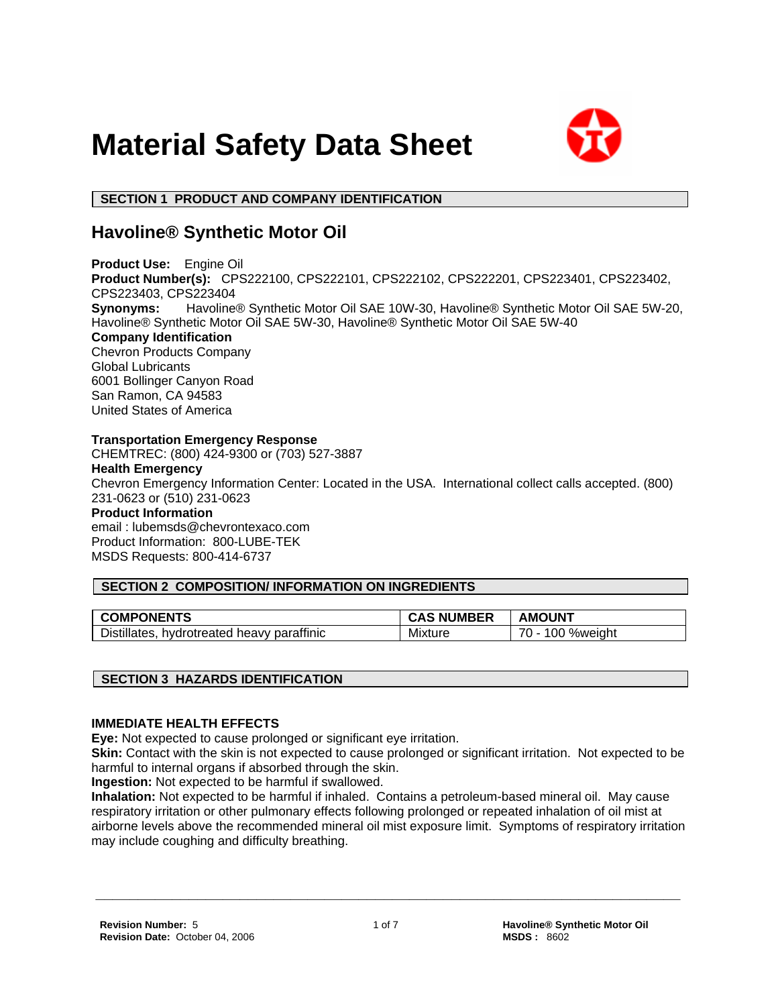



# **SECTION 1 PRODUCT AND COMPANY IDENTIFICATION**

# **Havoline® Synthetic Motor Oil**

**Product Use:** Engine Oil **Product Number(s):** CPS222100, CPS222101, CPS222102, CPS222201, CPS223401, CPS223402, CPS223403, CPS223404 **Synonyms:** Havoline® Synthetic Motor Oil SAE 10W-30, Havoline® Synthetic Motor Oil SAE 5W-20, Havoline® Synthetic Motor Oil SAE 5W-30, Havoline® Synthetic Motor Oil SAE 5W-40 **Company Identification** Chevron Products Company Global Lubricants 6001 Bollinger Canyon Road San Ramon, CA 94583 United States of America **Transportation Emergency Response** CHEMTREC: (800) 424-9300 or (703) 527-3887

# **Health Emergency**

Chevron Emergency Information Center: Located in the USA. International collect calls accepted. (800) 231-0623 or (510) 231-0623

### **Product Information**

email : lubemsds@chevrontexaco.com Product Information: 800-LUBE-TEK MSDS Requests: 800-414-6737

# **SECTION 2 COMPOSITION/ INFORMATION ON INGREDIENTS**

| <b>COMPONENTS</b>                             | <b>CAS NUMBER</b> | <b>AMOUNT</b>                           |
|-----------------------------------------------|-------------------|-----------------------------------------|
| hydrotreated heavy paraffinic<br>Distillates, | Mixture           | $\overline{\phantom{a}}$<br>100 %weiaht |

# **SECTION 3 HAZARDS IDENTIFICATION**

# **IMMEDIATE HEALTH EFFECTS**

**Eye:** Not expected to cause prolonged or significant eye irritation.

**Skin:** Contact with the skin is not expected to cause prolonged or significant irritation. Not expected to be harmful to internal organs if absorbed through the skin.

**Ingestion:** Not expected to be harmful if swallowed.

**Inhalation:** Not expected to be harmful if inhaled. Contains a petroleum-based mineral oil. May cause respiratory irritation or other pulmonary effects following prolonged or repeated inhalation of oil mist at airborne levels above the recommended mineral oil mist exposure limit. Symptoms of respiratory irritation may include coughing and difficulty breathing.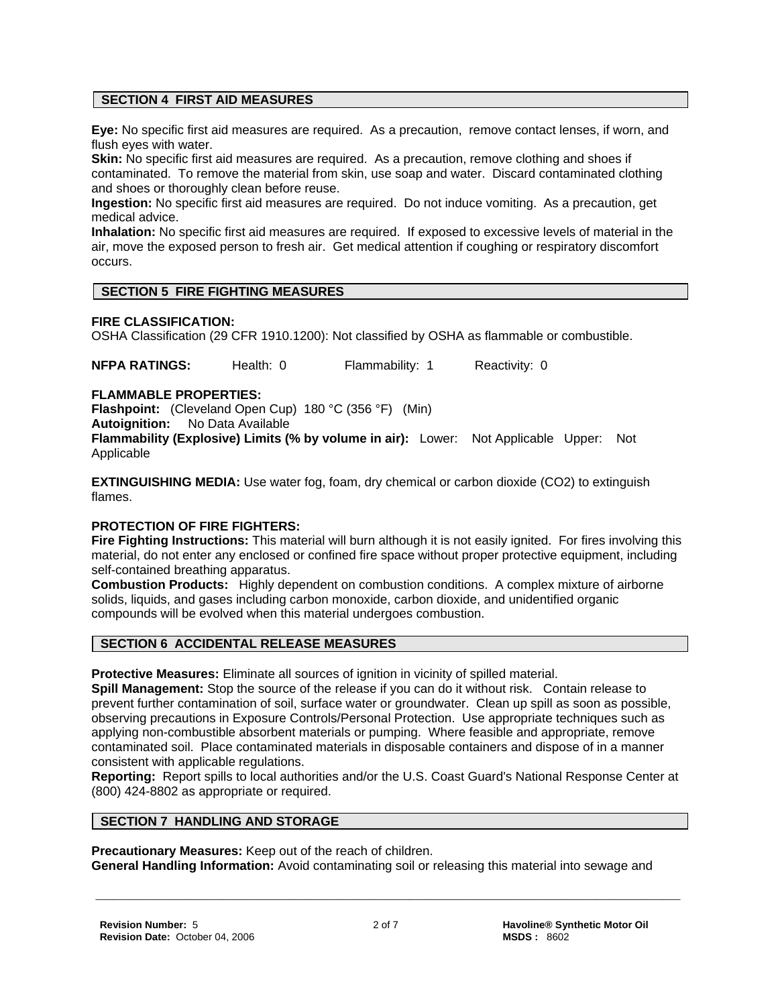# **SECTION 4 FIRST AID MEASURES**

**Eye:** No specific first aid measures are required. As a precaution, remove contact lenses, if worn, and flush eyes with water.

**Skin:** No specific first aid measures are required. As a precaution, remove clothing and shoes if contaminated. To remove the material from skin, use soap and water. Discard contaminated clothing and shoes or thoroughly clean before reuse.

**Ingestion:** No specific first aid measures are required. Do not induce vomiting. As a precaution, get medical advice.

**Inhalation:** No specific first aid measures are required. If exposed to excessive levels of material in the air, move the exposed person to fresh air. Get medical attention if coughing or respiratory discomfort occurs.

# **SECTION 5 FIRE FIGHTING MEASURES**

#### **FIRE CLASSIFICATION:**

OSHA Classification (29 CFR 1910.1200): Not classified by OSHA as flammable or combustible.

**NFPA RATINGS:** Health: 0 Flammability: 1 Reactivity: 0

#### **FLAMMABLE PROPERTIES:**

**Flashpoint:** (Cleveland Open Cup) 180 °C (356 °F) (Min)

**Autoignition:** No Data Available

**Flammability (Explosive) Limits (% by volume in air):** Lower: Not Applicable Upper: Not Applicable

**EXTINGUISHING MEDIA:** Use water fog, foam, dry chemical or carbon dioxide (CO2) to extinguish flames.

#### **PROTECTION OF FIRE FIGHTERS:**

**Fire Fighting Instructions:** This material will burn although it is not easily ignited. For fires involving this material, do not enter any enclosed or confined fire space without proper protective equipment, including self-contained breathing apparatus.

**Combustion Products:** Highly dependent on combustion conditions. A complex mixture of airborne solids, liquids, and gases including carbon monoxide, carbon dioxide, and unidentified organic compounds will be evolved when this material undergoes combustion.

# **SECTION 6 ACCIDENTAL RELEASE MEASURES**

**Protective Measures:** Eliminate all sources of ignition in vicinity of spilled material.

**Spill Management:** Stop the source of the release if you can do it without risk. Contain release to prevent further contamination of soil, surface water or groundwater. Clean up spill as soon as possible, observing precautions in Exposure Controls/Personal Protection. Use appropriate techniques such as applying non-combustible absorbent materials or pumping. Where feasible and appropriate, remove contaminated soil. Place contaminated materials in disposable containers and dispose of in a manner consistent with applicable regulations.

**Reporting:** Report spills to local authorities and/or the U.S. Coast Guard's National Response Center at (800) 424-8802 as appropriate or required.

#### **SECTION 7 HANDLING AND STORAGE**

**Precautionary Measures:** Keep out of the reach of children.

**General Handling Information:** Avoid contaminating soil or releasing this material into sewage and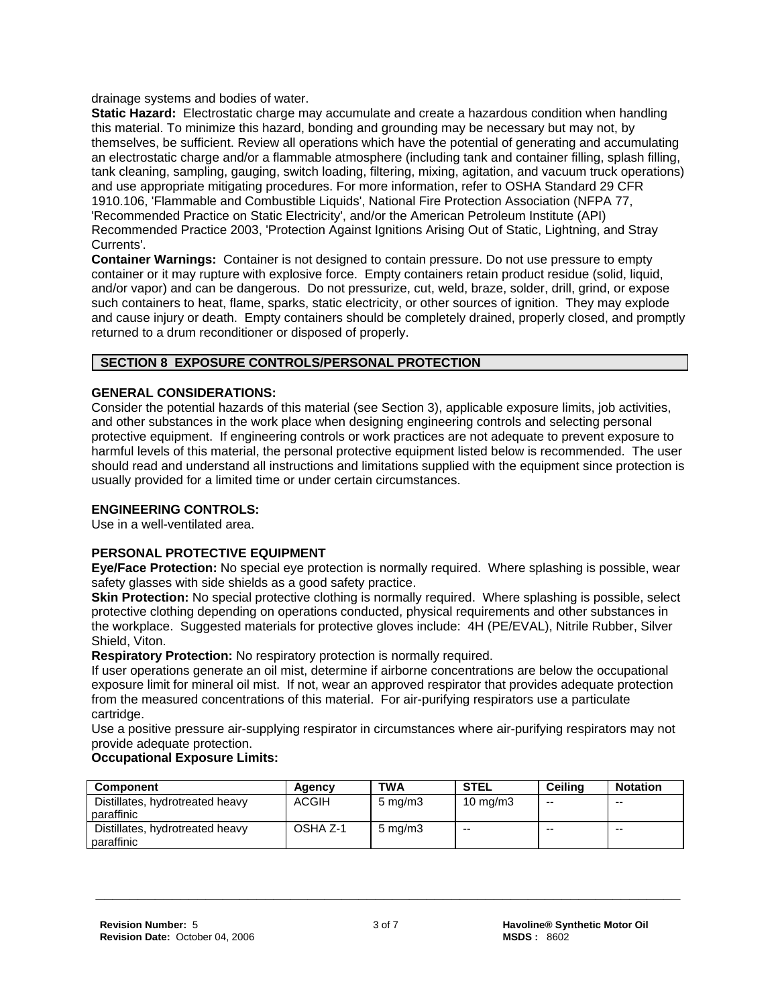drainage systems and bodies of water.

**Static Hazard:** Electrostatic charge may accumulate and create a hazardous condition when handling this material. To minimize this hazard, bonding and grounding may be necessary but may not, by themselves, be sufficient. Review all operations which have the potential of generating and accumulating an electrostatic charge and/or a flammable atmosphere (including tank and container filling, splash filling, tank cleaning, sampling, gauging, switch loading, filtering, mixing, agitation, and vacuum truck operations) and use appropriate mitigating procedures. For more information, refer to OSHA Standard 29 CFR 1910.106, 'Flammable and Combustible Liquids', National Fire Protection Association (NFPA 77, 'Recommended Practice on Static Electricity', and/or the American Petroleum Institute (API) Recommended Practice 2003, 'Protection Against Ignitions Arising Out of Static, Lightning, and Stray Currents'.

**Container Warnings:** Container is not designed to contain pressure. Do not use pressure to empty container or it may rupture with explosive force. Empty containers retain product residue (solid, liquid, and/or vapor) and can be dangerous. Do not pressurize, cut, weld, braze, solder, drill, grind, or expose such containers to heat, flame, sparks, static electricity, or other sources of ignition. They may explode and cause injury or death. Empty containers should be completely drained, properly closed, and promptly returned to a drum reconditioner or disposed of properly.

# **SECTION 8 EXPOSURE CONTROLS/PERSONAL PROTECTION**

# **GENERAL CONSIDERATIONS:**

Consider the potential hazards of this material (see Section 3), applicable exposure limits, job activities, and other substances in the work place when designing engineering controls and selecting personal protective equipment. If engineering controls or work practices are not adequate to prevent exposure to harmful levels of this material, the personal protective equipment listed below is recommended. The user should read and understand all instructions and limitations supplied with the equipment since protection is usually provided for a limited time or under certain circumstances.

# **ENGINEERING CONTROLS:**

Use in a well-ventilated area.

# **PERSONAL PROTECTIVE EQUIPMENT**

**Eye/Face Protection:** No special eye protection is normally required. Where splashing is possible, wear safety glasses with side shields as a good safety practice.

**Skin Protection:** No special protective clothing is normally required. Where splashing is possible, select protective clothing depending on operations conducted, physical requirements and other substances in the workplace. Suggested materials for protective gloves include: 4H (PE/EVAL), Nitrile Rubber, Silver Shield, Viton.

**Respiratory Protection:** No respiratory protection is normally required.

If user operations generate an oil mist, determine if airborne concentrations are below the occupational exposure limit for mineral oil mist. If not, wear an approved respirator that provides adequate protection from the measured concentrations of this material. For air-purifying respirators use a particulate cartridge.

Use a positive pressure air-supplying respirator in circumstances where air-purifying respirators may not provide adequate protection.

# **Occupational Exposure Limits:**

| Component                                     | Agency       | <b>TWA</b>       | <b>STEL</b>       | Ceilina | <b>Notation</b> |
|-----------------------------------------------|--------------|------------------|-------------------|---------|-----------------|
| Distillates, hydrotreated heavy<br>paraffinic | <b>ACGIH</b> | $5 \text{ mg/m}$ | $10 \text{ mg/m}$ | $- -$   | $-$             |
| Distillates, hydrotreated heavy<br>paraffinic | OSHA Z-1     | $5 \text{ mg/m}$ | $-$               | $- -$   | $-$             |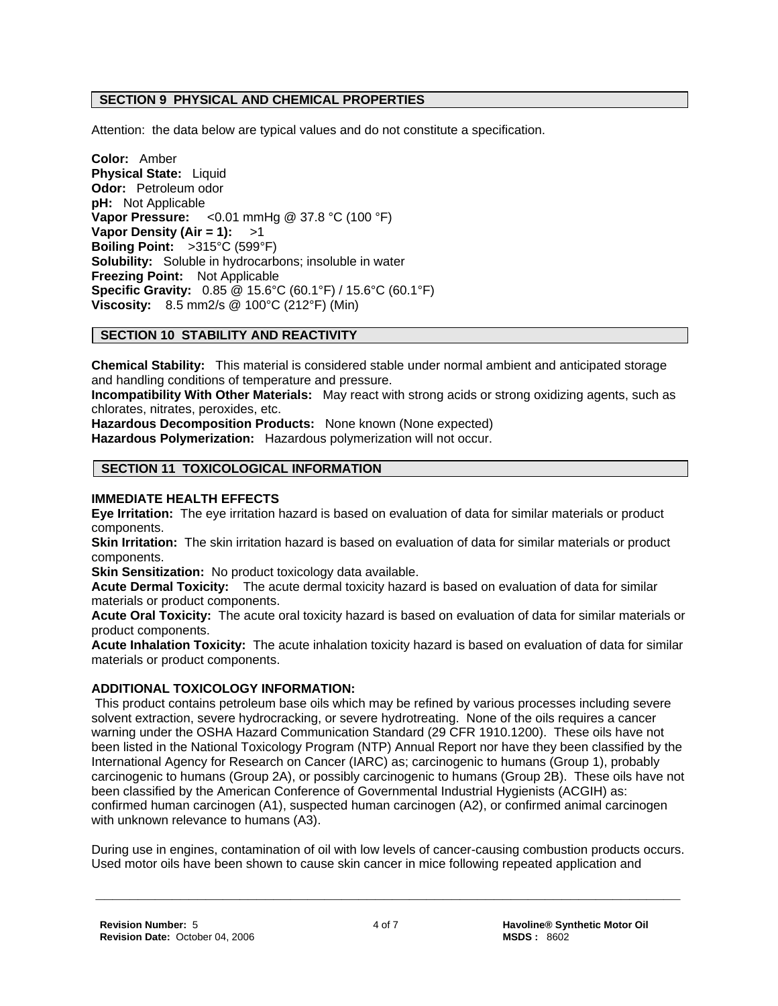# **SECTION 9 PHYSICAL AND CHEMICAL PROPERTIES**

Attention: the data below are typical values and do not constitute a specification.

**Color:** Amber **Physical State:** Liquid **Odor:** Petroleum odor **pH:** Not Applicable **Vapor Pressure:** <0.01 mmHg @ 37.8 °C (100 °F) **Vapor Density (Air = 1):** >1 **Boiling Point:** >315°C (599°F) **Solubility:** Soluble in hydrocarbons; insoluble in water **Freezing Point:** Not Applicable **Specific Gravity:** 0.85 @ 15.6°C (60.1°F) / 15.6°C (60.1°F) **Viscosity:** 8.5 mm2/s @ 100°C (212°F) (Min)

# **SECTION 10 STABILITY AND REACTIVITY**

**Chemical Stability:** This material is considered stable under normal ambient and anticipated storage and handling conditions of temperature and pressure.

**Incompatibility With Other Materials:** May react with strong acids or strong oxidizing agents, such as chlorates, nitrates, peroxides, etc.

**Hazardous Decomposition Products:** None known (None expected) **Hazardous Polymerization:** Hazardous polymerization will not occur.

# **SECTION 11 TOXICOLOGICAL INFORMATION**

#### **IMMEDIATE HEALTH EFFECTS**

**Eye Irritation:** The eye irritation hazard is based on evaluation of data for similar materials or product components.

**Skin Irritation:** The skin irritation hazard is based on evaluation of data for similar materials or product components.

**Skin Sensitization:** No product toxicology data available.

**Acute Dermal Toxicity:** The acute dermal toxicity hazard is based on evaluation of data for similar materials or product components.

**Acute Oral Toxicity:** The acute oral toxicity hazard is based on evaluation of data for similar materials or product components.

**Acute Inhalation Toxicity:** The acute inhalation toxicity hazard is based on evaluation of data for similar materials or product components.

#### **ADDITIONAL TOXICOLOGY INFORMATION:**

 This product contains petroleum base oils which may be refined by various processes including severe solvent extraction, severe hydrocracking, or severe hydrotreating. None of the oils requires a cancer warning under the OSHA Hazard Communication Standard (29 CFR 1910.1200). These oils have not been listed in the National Toxicology Program (NTP) Annual Report nor have they been classified by the International Agency for Research on Cancer (IARC) as; carcinogenic to humans (Group 1), probably carcinogenic to humans (Group 2A), or possibly carcinogenic to humans (Group 2B). These oils have not been classified by the American Conference of Governmental Industrial Hygienists (ACGIH) as: confirmed human carcinogen (A1), suspected human carcinogen (A2), or confirmed animal carcinogen with unknown relevance to humans (A3).

During use in engines, contamination of oil with low levels of cancer-causing combustion products occurs. Used motor oils have been shown to cause skin cancer in mice following repeated application and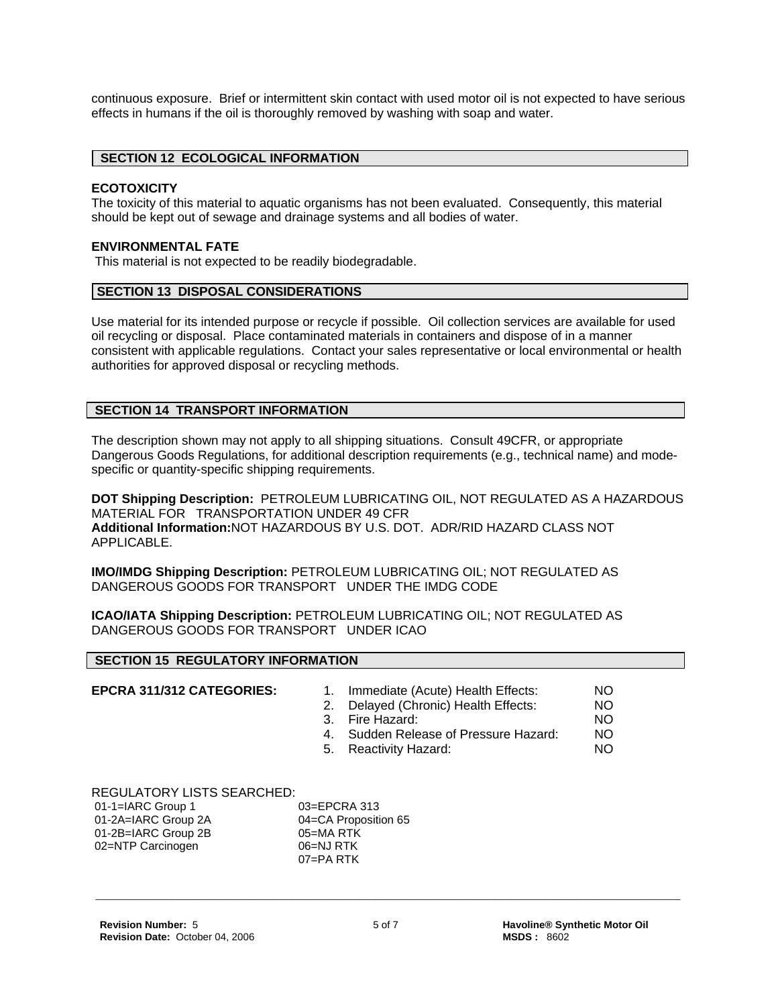continuous exposure. Brief or intermittent skin contact with used motor oil is not expected to have serious effects in humans if the oil is thoroughly removed by washing with soap and water.

# **SECTION 12 ECOLOGICAL INFORMATION**

# **ECOTOXICITY**

The toxicity of this material to aquatic organisms has not been evaluated. Consequently, this material should be kept out of sewage and drainage systems and all bodies of water.

# **ENVIRONMENTAL FATE**

This material is not expected to be readily biodegradable.

#### **SECTION 13 DISPOSAL CONSIDERATIONS**

Use material for its intended purpose or recycle if possible. Oil collection services are available for used oil recycling or disposal. Place contaminated materials in containers and dispose of in a manner consistent with applicable regulations. Contact your sales representative or local environmental or health authorities for approved disposal or recycling methods.

#### **SECTION 14 TRANSPORT INFORMATION**

The description shown may not apply to all shipping situations. Consult 49CFR, or appropriate Dangerous Goods Regulations, for additional description requirements (e.g., technical name) and modespecific or quantity-specific shipping requirements.

**DOT Shipping Description:** PETROLEUM LUBRICATING OIL, NOT REGULATED AS A HAZARDOUS MATERIAL FOR TRANSPORTATION UNDER 49 CFR **Additional Information:**NOT HAZARDOUS BY U.S. DOT. ADR/RID HAZARD CLASS NOT APPLICABLE.

**IMO/IMDG Shipping Description:** PETROLEUM LUBRICATING OIL; NOT REGULATED AS DANGEROUS GOODS FOR TRANSPORT UNDER THE IMDG CODE

**ICAO/IATA Shipping Description:** PETROLEUM LUBRICATING OIL; NOT REGULATED AS DANGEROUS GOODS FOR TRANSPORT UNDER ICAO

#### **SECTION 15 REGULATORY INFORMATION**

- **EPCRA 311/312 CATEGORIES:** 1. Immediate (Acute) Health Effects: NO<br>2. Delaved (Chronic) Health Effects: NO
	- 2. Delayed (Chronic) Health Effects:
	- 3. Fire Hazard: NO
	- 4. Sudden Release of Pressure Hazard: NO
	- 5. Reactivity Hazard: NO

# REGULATORY LISTS SEARCHED:

| $01-1=IARC$ Group 1 |  |
|---------------------|--|
| 01-2A=IARC Group 2A |  |
| 01-2B=IARC Group 2B |  |
| 02=NTP Carcinogen   |  |
|                     |  |

03=EPCRA 313 04=CA Proposition 65  $05$ =MA RTK 06=NJ RTK 07=PA RTK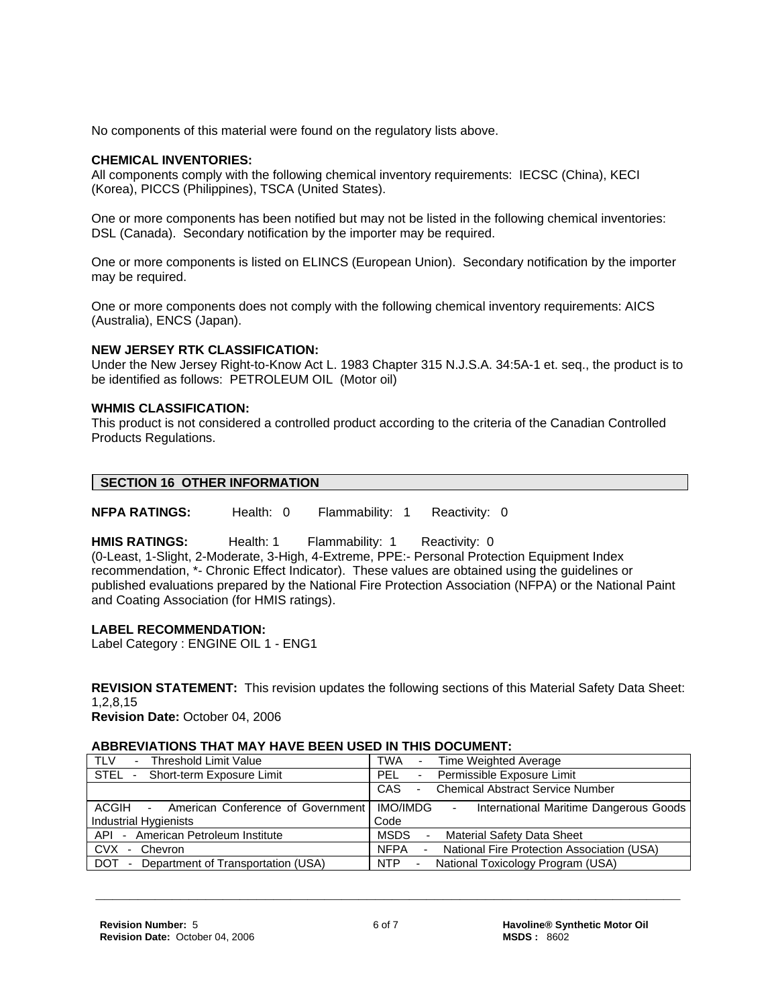No components of this material were found on the regulatory lists above.

# **CHEMICAL INVENTORIES:**

All components comply with the following chemical inventory requirements: IECSC (China), KECI (Korea), PICCS (Philippines), TSCA (United States).

One or more components has been notified but may not be listed in the following chemical inventories: DSL (Canada). Secondary notification by the importer may be required.

One or more components is listed on ELINCS (European Union). Secondary notification by the importer may be required.

One or more components does not comply with the following chemical inventory requirements: AICS (Australia), ENCS (Japan).

#### **NEW JERSEY RTK CLASSIFICATION:**

Under the New Jersey Right-to-Know Act L. 1983 Chapter 315 N.J.S.A. 34:5A-1 et. seq., the product is to be identified as follows: PETROLEUM OIL (Motor oil)

# **WHMIS CLASSIFICATION:**

This product is not considered a controlled product according to the criteria of the Canadian Controlled Products Regulations.

| SECTION 16 OTHER INFORMATION |  |
|------------------------------|--|

**NFPA RATINGS:** Health: 0 Flammability: 1 Reactivity: 0

**HMIS RATINGS:** Health: 1 Flammability: 1 Reactivity: 0

(0-Least, 1-Slight, 2-Moderate, 3-High, 4-Extreme, PPE:- Personal Protection Equipment Index recommendation, \*- Chronic Effect Indicator). These values are obtained using the guidelines or published evaluations prepared by the National Fire Protection Association (NFPA) or the National Paint and Coating Association (for HMIS ratings).

# **LABEL RECOMMENDATION:**

Label Category : ENGINE OIL 1 - ENG1

**REVISION STATEMENT:** This revision updates the following sections of this Material Safety Data Sheet: 1,2,8,15

**Revision Date:** October 04, 2006

#### **ABBREVIATIONS THAT MAY HAVE BEEN USED IN THIS DOCUMENT:**

| <b>TLV</b>                                     | TWA                                                                        |
|------------------------------------------------|----------------------------------------------------------------------------|
| <b>Threshold Limit Value</b>                   | Time Weighted Average                                                      |
| $\sim$                                         | $\sim$                                                                     |
| STEL                                           | - Permissible Exposure Limit                                               |
| - Short-term Exposure Limit                    | <b>PEL</b>                                                                 |
|                                                | CAS<br><b>Chemical Abstract Service Number</b><br>$\overline{\phantom{0}}$ |
| - American Conference of Government   IMO/IMDG | International Maritime Dangerous Goods                                     |
| ACGIH                                          | $\sim$                                                                     |
| <b>Industrial Hygienists</b>                   | Code                                                                       |
| API - American Petroleum Institute             | MSDS<br>Material Safety Data Sheet<br>$\blacksquare$                       |
| - Chevron                                      | - National Fire Protection Association (USA)                               |
| CVX                                            | <b>NFPA</b>                                                                |
| - Department of Transportation (USA)<br>DOT    | NTP<br>National Toxicology Program (USA)<br>$\sim$                         |